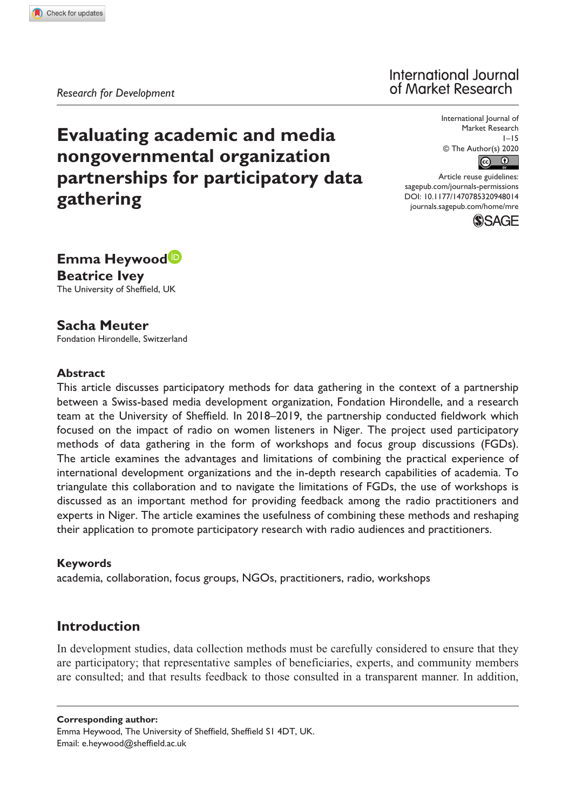**Evaluating academic and media nongovernmental organization partnerships for participatory data gathering**

International Journal of Market Research

> International Journal of Market Research  $1 - 15$ © The Author(s) 2020  $\begin{matrix} 0 & 0 \end{matrix}$

DOI: 10.1177/1470785320948014 Article reuse guidelines: [sagepub.com/journals-permissions](https://uk.sagepub.com/en-gb/journals-permissions) [journals.sagepub.com/home/mre](https://journals.sagepub.com/home/mre)



**Emma Heywood Beatrice Ivey** The University of Sheffield, UK

**Sacha Meuter** Fondation Hirondelle, Switzerland

### **Abstract**

This article discusses participatory methods for data gathering in the context of a partnership between a Swiss-based media development organization, Fondation Hirondelle, and a research team at the University of Sheffield. In 2018–2019, the partnership conducted fieldwork which focused on the impact of radio on women listeners in Niger. The project used participatory methods of data gathering in the form of workshops and focus group discussions (FGDs). The article examines the advantages and limitations of combining the practical experience of international development organizations and the in-depth research capabilities of academia. To triangulate this collaboration and to navigate the limitations of FGDs, the use of workshops is discussed as an important method for providing feedback among the radio practitioners and experts in Niger. The article examines the usefulness of combining these methods and reshaping their application to promote participatory research with radio audiences and practitioners.

### **Keywords**

academia, collaboration, focus groups, NGOs, practitioners, radio, workshops

# **Introduction**

In development studies, data collection methods must be carefully considered to ensure that they are participatory; that representative samples of beneficiaries, experts, and community members are consulted; and that results feedback to those consulted in a transparent manner. In addition,

**Corresponding author:**

Emma Heywood, The University of Sheffield, Sheffield S1 4DT, UK. Email: [e.heywood@sheffield.ac.uk](mailto:e.heywood@sheffield.ac.uk)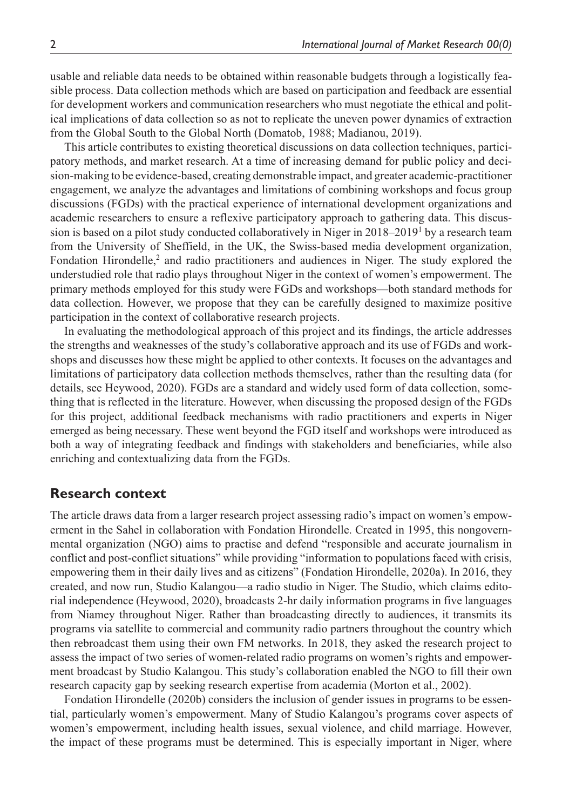usable and reliable data needs to be obtained within reasonable budgets through a logistically feasible process. Data collection methods which are based on participation and feedback are essential for development workers and communication researchers who must negotiate the ethical and political implications of data collection so as not to replicate the uneven power dynamics of extraction from the Global South to the Global North (Domatob, 1988; Madianou, 2019).

This article contributes to existing theoretical discussions on data collection techniques, participatory methods, and market research. At a time of increasing demand for public policy and decision-making to be evidence-based, creating demonstrable impact, and greater academic-practitioner engagement, we analyze the advantages and limitations of combining workshops and focus group discussions (FGDs) with the practical experience of international development organizations and academic researchers to ensure a reflexive participatory approach to gathering data. This discussion is based on a pilot study conducted collaboratively in Niger in 2018–2019<sup>1</sup> by a research team from the University of Sheffield, in the UK, the Swiss-based media development organization, Fondation Hirondelle,<sup>2</sup> and radio practitioners and audiences in Niger. The study explored the understudied role that radio plays throughout Niger in the context of women's empowerment. The primary methods employed for this study were FGDs and workshops—both standard methods for data collection. However, we propose that they can be carefully designed to maximize positive participation in the context of collaborative research projects.

In evaluating the methodological approach of this project and its findings, the article addresses the strengths and weaknesses of the study's collaborative approach and its use of FGDs and workshops and discusses how these might be applied to other contexts. It focuses on the advantages and limitations of participatory data collection methods themselves, rather than the resulting data (for details, see Heywood, 2020). FGDs are a standard and widely used form of data collection, something that is reflected in the literature. However, when discussing the proposed design of the FGDs for this project, additional feedback mechanisms with radio practitioners and experts in Niger emerged as being necessary. These went beyond the FGD itself and workshops were introduced as both a way of integrating feedback and findings with stakeholders and beneficiaries, while also enriching and contextualizing data from the FGDs.

# **Research context**

The article draws data from a larger research project assessing radio's impact on women's empowerment in the Sahel in collaboration with Fondation Hirondelle. Created in 1995, this nongovernmental organization (NGO) aims to practise and defend "responsible and accurate journalism in conflict and post-conflict situations" while providing "information to populations faced with crisis, empowering them in their daily lives and as citizens" (Fondation Hirondelle, 2020a). In 2016, they created, and now run, Studio Kalangou—a radio studio in Niger. The Studio, which claims editorial independence (Heywood, 2020), broadcasts 2-hr daily information programs in five languages from Niamey throughout Niger. Rather than broadcasting directly to audiences, it transmits its programs via satellite to commercial and community radio partners throughout the country which then rebroadcast them using their own FM networks. In 2018, they asked the research project to assess the impact of two series of women-related radio programs on women's rights and empowerment broadcast by Studio Kalangou. This study's collaboration enabled the NGO to fill their own research capacity gap by seeking research expertise from academia (Morton et al., 2002).

Fondation Hirondelle (2020b) considers the inclusion of gender issues in programs to be essential, particularly women's empowerment. Many of Studio Kalangou's programs cover aspects of women's empowerment, including health issues, sexual violence, and child marriage. However, the impact of these programs must be determined. This is especially important in Niger, where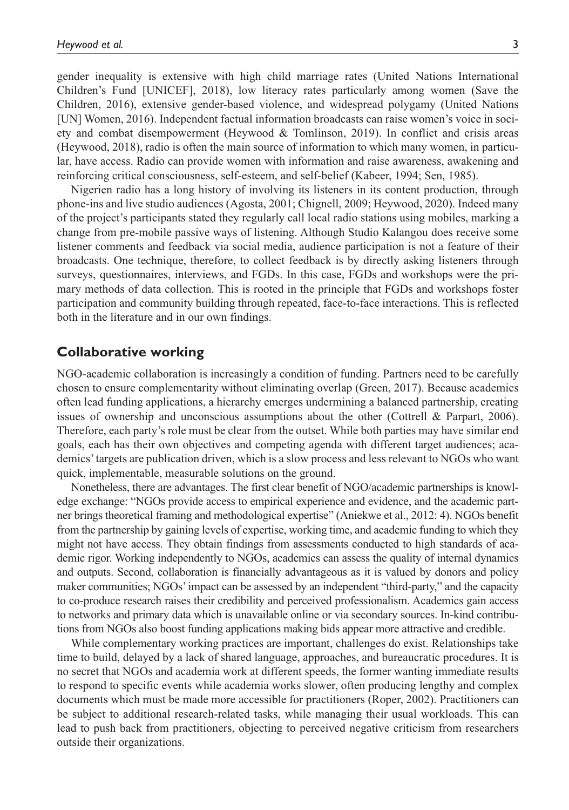gender inequality is extensive with high child marriage rates (United Nations International Children's Fund [UNICEF], 2018), low literacy rates particularly among women (Save the Children, 2016), extensive gender-based violence, and widespread polygamy (United Nations [UN] Women, 2016). Independent factual information broadcasts can raise women's voice in society and combat disempowerment (Heywood & Tomlinson, 2019). In conflict and crisis areas (Heywood, 2018), radio is often the main source of information to which many women, in particular, have access. Radio can provide women with information and raise awareness, awakening and reinforcing critical consciousness, self-esteem, and self-belief (Kabeer, 1994; Sen, 1985).

Nigerien radio has a long history of involving its listeners in its content production, through phone-ins and live studio audiences (Agosta, 2001; Chignell, 2009; Heywood, 2020). Indeed many of the project's participants stated they regularly call local radio stations using mobiles, marking a change from pre-mobile passive ways of listening. Although Studio Kalangou does receive some listener comments and feedback via social media, audience participation is not a feature of their broadcasts. One technique, therefore, to collect feedback is by directly asking listeners through surveys, questionnaires, interviews, and FGDs. In this case, FGDs and workshops were the primary methods of data collection. This is rooted in the principle that FGDs and workshops foster participation and community building through repeated, face-to-face interactions. This is reflected both in the literature and in our own findings.

## **Collaborative working**

NGO-academic collaboration is increasingly a condition of funding. Partners need to be carefully chosen to ensure complementarity without eliminating overlap (Green, 2017). Because academics often lead funding applications, a hierarchy emerges undermining a balanced partnership, creating issues of ownership and unconscious assumptions about the other (Cottrell & Parpart, 2006). Therefore, each party's role must be clear from the outset. While both parties may have similar end goals, each has their own objectives and competing agenda with different target audiences; academics' targets are publication driven, which is a slow process and less relevant to NGOs who want quick, implementable, measurable solutions on the ground.

Nonetheless, there are advantages. The first clear benefit of NGO/academic partnerships is knowledge exchange: "NGOs provide access to empirical experience and evidence, and the academic partner brings theoretical framing and methodological expertise" (Aniekwe et al., 2012: 4). NGOs benefit from the partnership by gaining levels of expertise, working time, and academic funding to which they might not have access. They obtain findings from assessments conducted to high standards of academic rigor. Working independently to NGOs, academics can assess the quality of internal dynamics and outputs. Second, collaboration is financially advantageous as it is valued by donors and policy maker communities; NGOs' impact can be assessed by an independent "third-party," and the capacity to co-produce research raises their credibility and perceived professionalism. Academics gain access to networks and primary data which is unavailable online or via secondary sources. In-kind contributions from NGOs also boost funding applications making bids appear more attractive and credible.

While complementary working practices are important, challenges do exist. Relationships take time to build, delayed by a lack of shared language, approaches, and bureaucratic procedures. It is no secret that NGOs and academia work at different speeds, the former wanting immediate results to respond to specific events while academia works slower, often producing lengthy and complex documents which must be made more accessible for practitioners (Roper, 2002). Practitioners can be subject to additional research-related tasks, while managing their usual workloads. This can lead to push back from practitioners, objecting to perceived negative criticism from researchers outside their organizations.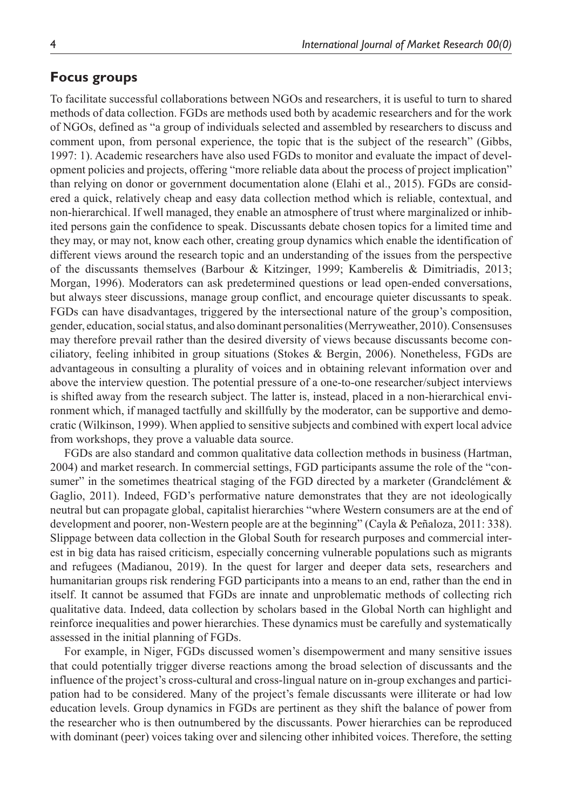## **Focus groups**

To facilitate successful collaborations between NGOs and researchers, it is useful to turn to shared methods of data collection. FGDs are methods used both by academic researchers and for the work of NGOs, defined as "a group of individuals selected and assembled by researchers to discuss and comment upon, from personal experience, the topic that is the subject of the research" (Gibbs, 1997: 1). Academic researchers have also used FGDs to monitor and evaluate the impact of development policies and projects, offering "more reliable data about the process of project implication" than relying on donor or government documentation alone (Elahi et al., 2015). FGDs are considered a quick, relatively cheap and easy data collection method which is reliable, contextual, and non-hierarchical. If well managed, they enable an atmosphere of trust where marginalized or inhibited persons gain the confidence to speak. Discussants debate chosen topics for a limited time and they may, or may not, know each other, creating group dynamics which enable the identification of different views around the research topic and an understanding of the issues from the perspective of the discussants themselves (Barbour & Kitzinger, 1999; Kamberelis & Dimitriadis, 2013; Morgan, 1996). Moderators can ask predetermined questions or lead open-ended conversations, but always steer discussions, manage group conflict, and encourage quieter discussants to speak. FGDs can have disadvantages, triggered by the intersectional nature of the group's composition, gender, education, social status, and also dominant personalities (Merryweather, 2010). Consensuses may therefore prevail rather than the desired diversity of views because discussants become conciliatory, feeling inhibited in group situations (Stokes & Bergin, 2006). Nonetheless, FGDs are advantageous in consulting a plurality of voices and in obtaining relevant information over and above the interview question. The potential pressure of a one-to-one researcher/subject interviews is shifted away from the research subject. The latter is, instead, placed in a non-hierarchical environment which, if managed tactfully and skillfully by the moderator, can be supportive and democratic (Wilkinson, 1999). When applied to sensitive subjects and combined with expert local advice from workshops, they prove a valuable data source.

FGDs are also standard and common qualitative data collection methods in business (Hartman, 2004) and market research. In commercial settings, FGD participants assume the role of the "consumer" in the sometimes theatrical staging of the FGD directed by a marketer (Grandclément  $\&$ Gaglio, 2011). Indeed, FGD's performative nature demonstrates that they are not ideologically neutral but can propagate global, capitalist hierarchies "where Western consumers are at the end of development and poorer, non-Western people are at the beginning" (Cayla & Peñaloza, 2011: 338). Slippage between data collection in the Global South for research purposes and commercial interest in big data has raised criticism, especially concerning vulnerable populations such as migrants and refugees (Madianou, 2019). In the quest for larger and deeper data sets, researchers and humanitarian groups risk rendering FGD participants into a means to an end, rather than the end in itself. It cannot be assumed that FGDs are innate and unproblematic methods of collecting rich qualitative data. Indeed, data collection by scholars based in the Global North can highlight and reinforce inequalities and power hierarchies. These dynamics must be carefully and systematically assessed in the initial planning of FGDs.

For example, in Niger, FGDs discussed women's disempowerment and many sensitive issues that could potentially trigger diverse reactions among the broad selection of discussants and the influence of the project's cross-cultural and cross-lingual nature on in-group exchanges and participation had to be considered. Many of the project's female discussants were illiterate or had low education levels. Group dynamics in FGDs are pertinent as they shift the balance of power from the researcher who is then outnumbered by the discussants. Power hierarchies can be reproduced with dominant (peer) voices taking over and silencing other inhibited voices. Therefore, the setting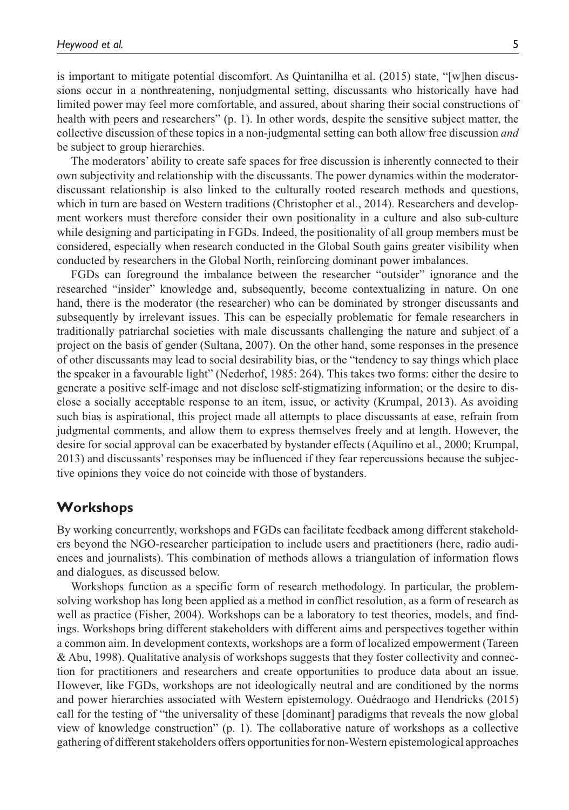is important to mitigate potential discomfort. As Quintanilha et al. (2015) state, "[w]hen discussions occur in a nonthreatening, nonjudgmental setting, discussants who historically have had limited power may feel more comfortable, and assured, about sharing their social constructions of health with peers and researchers" (p. 1). In other words, despite the sensitive subject matter, the collective discussion of these topics in a non-judgmental setting can both allow free discussion *and* be subject to group hierarchies.

The moderators' ability to create safe spaces for free discussion is inherently connected to their own subjectivity and relationship with the discussants. The power dynamics within the moderatordiscussant relationship is also linked to the culturally rooted research methods and questions, which in turn are based on Western traditions (Christopher et al., 2014). Researchers and development workers must therefore consider their own positionality in a culture and also sub-culture while designing and participating in FGDs. Indeed, the positionality of all group members must be considered, especially when research conducted in the Global South gains greater visibility when conducted by researchers in the Global North, reinforcing dominant power imbalances.

FGDs can foreground the imbalance between the researcher "outsider" ignorance and the researched "insider" knowledge and, subsequently, become contextualizing in nature. On one hand, there is the moderator (the researcher) who can be dominated by stronger discussants and subsequently by irrelevant issues. This can be especially problematic for female researchers in traditionally patriarchal societies with male discussants challenging the nature and subject of a project on the basis of gender (Sultana, 2007). On the other hand, some responses in the presence of other discussants may lead to social desirability bias, or the "tendency to say things which place the speaker in a favourable light" (Nederhof, 1985: 264). This takes two forms: either the desire to generate a positive self-image and not disclose self-stigmatizing information; or the desire to disclose a socially acceptable response to an item, issue, or activity (Krumpal, 2013). As avoiding such bias is aspirational, this project made all attempts to place discussants at ease, refrain from judgmental comments, and allow them to express themselves freely and at length. However, the desire for social approval can be exacerbated by bystander effects (Aquilino et al., 2000; Krumpal, 2013) and discussants' responses may be influenced if they fear repercussions because the subjective opinions they voice do not coincide with those of bystanders.

## **Workshops**

By working concurrently, workshops and FGDs can facilitate feedback among different stakeholders beyond the NGO-researcher participation to include users and practitioners (here, radio audiences and journalists). This combination of methods allows a triangulation of information flows and dialogues, as discussed below.

Workshops function as a specific form of research methodology. In particular, the problemsolving workshop has long been applied as a method in conflict resolution, as a form of research as well as practice (Fisher, 2004). Workshops can be a laboratory to test theories, models, and findings. Workshops bring different stakeholders with different aims and perspectives together within a common aim. In development contexts, workshops are a form of localized empowerment (Tareen & Abu, 1998). Qualitative analysis of workshops suggests that they foster collectivity and connection for practitioners and researchers and create opportunities to produce data about an issue. However, like FGDs, workshops are not ideologically neutral and are conditioned by the norms and power hierarchies associated with Western epistemology. Ouédraogo and Hendricks (2015) call for the testing of "the universality of these [dominant] paradigms that reveals the now global view of knowledge construction" (p. 1). The collaborative nature of workshops as a collective gathering of different stakeholders offers opportunities for non-Western epistemological approaches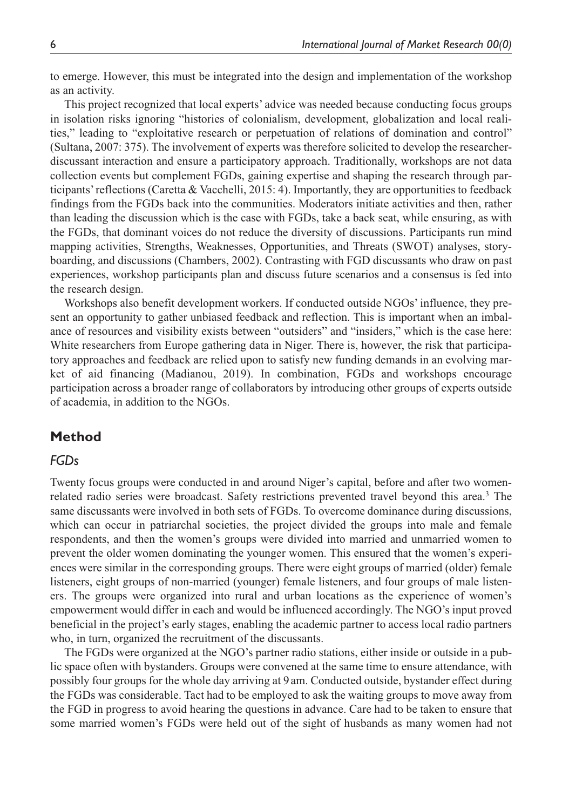to emerge. However, this must be integrated into the design and implementation of the workshop as an activity.

This project recognized that local experts' advice was needed because conducting focus groups in isolation risks ignoring "histories of colonialism, development, globalization and local realities," leading to "exploitative research or perpetuation of relations of domination and control" (Sultana, 2007: 375). The involvement of experts was therefore solicited to develop the researcherdiscussant interaction and ensure a participatory approach. Traditionally, workshops are not data collection events but complement FGDs, gaining expertise and shaping the research through participants' reflections (Caretta & Vacchelli, 2015: 4). Importantly, they are opportunities to feedback findings from the FGDs back into the communities. Moderators initiate activities and then, rather than leading the discussion which is the case with FGDs, take a back seat, while ensuring, as with the FGDs, that dominant voices do not reduce the diversity of discussions. Participants run mind mapping activities, Strengths, Weaknesses, Opportunities, and Threats (SWOT) analyses, storyboarding, and discussions (Chambers, 2002). Contrasting with FGD discussants who draw on past experiences, workshop participants plan and discuss future scenarios and a consensus is fed into the research design.

Workshops also benefit development workers. If conducted outside NGOs' influence, they present an opportunity to gather unbiased feedback and reflection. This is important when an imbalance of resources and visibility exists between "outsiders" and "insiders," which is the case here: White researchers from Europe gathering data in Niger. There is, however, the risk that participatory approaches and feedback are relied upon to satisfy new funding demands in an evolving market of aid financing (Madianou, 2019). In combination, FGDs and workshops encourage participation across a broader range of collaborators by introducing other groups of experts outside of academia, in addition to the NGOs.

## **Method**

## *FGDs*

Twenty focus groups were conducted in and around Niger's capital, before and after two womenrelated radio series were broadcast. Safety restrictions prevented travel beyond this area.<sup>3</sup> The same discussants were involved in both sets of FGDs. To overcome dominance during discussions, which can occur in patriarchal societies, the project divided the groups into male and female respondents, and then the women's groups were divided into married and unmarried women to prevent the older women dominating the younger women. This ensured that the women's experiences were similar in the corresponding groups. There were eight groups of married (older) female listeners, eight groups of non-married (younger) female listeners, and four groups of male listeners. The groups were organized into rural and urban locations as the experience of women's empowerment would differ in each and would be influenced accordingly. The NGO's input proved beneficial in the project's early stages, enabling the academic partner to access local radio partners who, in turn, organized the recruitment of the discussants.

The FGDs were organized at the NGO's partner radio stations, either inside or outside in a public space often with bystanders. Groups were convened at the same time to ensure attendance, with possibly four groups for the whole day arriving at 9am. Conducted outside, bystander effect during the FGDs was considerable. Tact had to be employed to ask the waiting groups to move away from the FGD in progress to avoid hearing the questions in advance. Care had to be taken to ensure that some married women's FGDs were held out of the sight of husbands as many women had not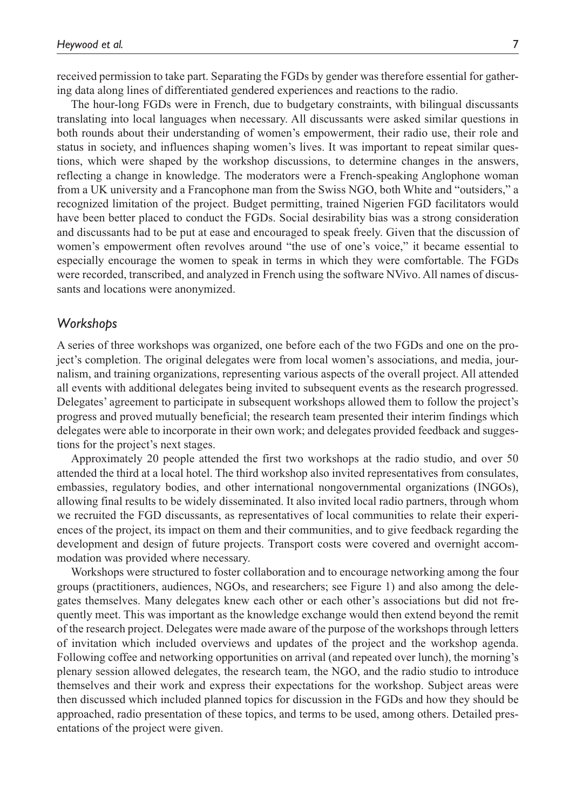received permission to take part. Separating the FGDs by gender was therefore essential for gathering data along lines of differentiated gendered experiences and reactions to the radio.

The hour-long FGDs were in French, due to budgetary constraints, with bilingual discussants translating into local languages when necessary. All discussants were asked similar questions in both rounds about their understanding of women's empowerment, their radio use, their role and status in society, and influences shaping women's lives. It was important to repeat similar questions, which were shaped by the workshop discussions, to determine changes in the answers, reflecting a change in knowledge. The moderators were a French-speaking Anglophone woman from a UK university and a Francophone man from the Swiss NGO, both White and "outsiders," a recognized limitation of the project. Budget permitting, trained Nigerien FGD facilitators would have been better placed to conduct the FGDs. Social desirability bias was a strong consideration and discussants had to be put at ease and encouraged to speak freely. Given that the discussion of women's empowerment often revolves around "the use of one's voice," it became essential to especially encourage the women to speak in terms in which they were comfortable. The FGDs were recorded, transcribed, and analyzed in French using the software NVivo. All names of discussants and locations were anonymized.

## *Workshops*

A series of three workshops was organized, one before each of the two FGDs and one on the project's completion. The original delegates were from local women's associations, and media, journalism, and training organizations, representing various aspects of the overall project. All attended all events with additional delegates being invited to subsequent events as the research progressed. Delegates' agreement to participate in subsequent workshops allowed them to follow the project's progress and proved mutually beneficial; the research team presented their interim findings which delegates were able to incorporate in their own work; and delegates provided feedback and suggestions for the project's next stages.

Approximately 20 people attended the first two workshops at the radio studio, and over 50 attended the third at a local hotel. The third workshop also invited representatives from consulates, embassies, regulatory bodies, and other international nongovernmental organizations (INGOs), allowing final results to be widely disseminated. It also invited local radio partners, through whom we recruited the FGD discussants, as representatives of local communities to relate their experiences of the project, its impact on them and their communities, and to give feedback regarding the development and design of future projects. Transport costs were covered and overnight accommodation was provided where necessary.

Workshops were structured to foster collaboration and to encourage networking among the four groups (practitioners, audiences, NGOs, and researchers; see Figure 1) and also among the delegates themselves. Many delegates knew each other or each other's associations but did not frequently meet. This was important as the knowledge exchange would then extend beyond the remit of the research project. Delegates were made aware of the purpose of the workshops through letters of invitation which included overviews and updates of the project and the workshop agenda. Following coffee and networking opportunities on arrival (and repeated over lunch), the morning's plenary session allowed delegates, the research team, the NGO, and the radio studio to introduce themselves and their work and express their expectations for the workshop. Subject areas were then discussed which included planned topics for discussion in the FGDs and how they should be approached, radio presentation of these topics, and terms to be used, among others. Detailed presentations of the project were given.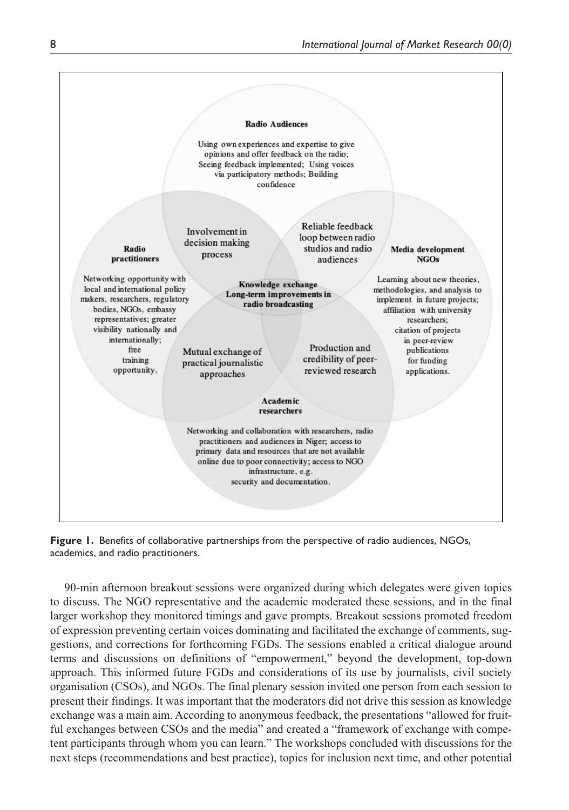

**Figure 1.** Benefits of collaborative partnerships from the perspective of radio audiences, NGOs, academics, and radio practitioners.

90-min afternoon breakout sessions were organized during which delegates were given topics to discuss. The NGO representative and the academic moderated these sessions, and in the final larger workshop they monitored timings and gave prompts. Breakout sessions promoted freedom of expression preventing certain voices dominating and facilitated the exchange of comments, suggestions, and corrections for forthcoming FGDs. The sessions enabled a critical dialogue around terms and discussions on definitions of "empowerment," beyond the development, top-down approach. This informed future FGDs and considerations of its use by journalists, civil society organisation (CSOs), and NGOs. The final plenary session invited one person from each session to present their findings. It was important that the moderators did not drive this session as knowledge exchange was a main aim. According to anonymous feedback, the presentations "allowed for fruitful exchanges between CSOs and the media" and created a "framework of exchange with competent participants through whom you can learn." The workshops concluded with discussions for the next steps (recommendations and best practice), topics for inclusion next time, and other potential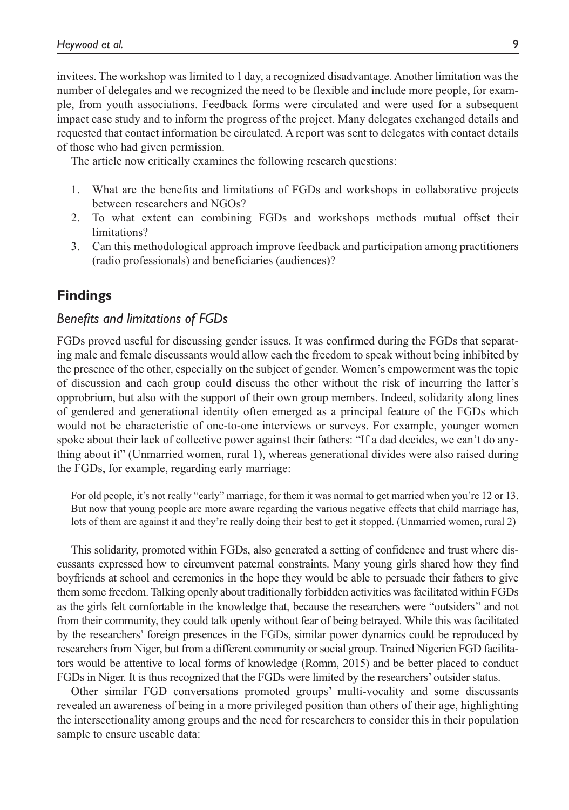invitees. The workshop was limited to 1 day, a recognized disadvantage. Another limitation was the number of delegates and we recognized the need to be flexible and include more people, for example, from youth associations. Feedback forms were circulated and were used for a subsequent impact case study and to inform the progress of the project. Many delegates exchanged details and requested that contact information be circulated. A report was sent to delegates with contact details of those who had given permission.

The article now critically examines the following research questions:

- 1. What are the benefits and limitations of FGDs and workshops in collaborative projects between researchers and NGOs?
- 2. To what extent can combining FGDs and workshops methods mutual offset their limitations?
- 3. Can this methodological approach improve feedback and participation among practitioners (radio professionals) and beneficiaries (audiences)?

# **Findings**

## *Benefits and limitations of FGDs*

FGDs proved useful for discussing gender issues. It was confirmed during the FGDs that separating male and female discussants would allow each the freedom to speak without being inhibited by the presence of the other, especially on the subject of gender. Women's empowerment was the topic of discussion and each group could discuss the other without the risk of incurring the latter's opprobrium, but also with the support of their own group members. Indeed, solidarity along lines of gendered and generational identity often emerged as a principal feature of the FGDs which would not be characteristic of one-to-one interviews or surveys. For example, younger women spoke about their lack of collective power against their fathers: "If a dad decides, we can't do anything about it" (Unmarried women, rural 1), whereas generational divides were also raised during the FGDs, for example, regarding early marriage:

For old people, it's not really "early" marriage, for them it was normal to get married when you're 12 or 13. But now that young people are more aware regarding the various negative effects that child marriage has, lots of them are against it and they're really doing their best to get it stopped. (Unmarried women, rural 2)

This solidarity, promoted within FGDs, also generated a setting of confidence and trust where discussants expressed how to circumvent paternal constraints. Many young girls shared how they find boyfriends at school and ceremonies in the hope they would be able to persuade their fathers to give them some freedom. Talking openly about traditionally forbidden activities was facilitated within FGDs as the girls felt comfortable in the knowledge that, because the researchers were "outsiders'' and not from their community, they could talk openly without fear of being betrayed. While this was facilitated by the researchers' foreign presences in the FGDs, similar power dynamics could be reproduced by researchers from Niger, but from a different community or social group. Trained Nigerien FGD facilitators would be attentive to local forms of knowledge (Romm, 2015) and be better placed to conduct FGDs in Niger. It is thus recognized that the FGDs were limited by the researchers' outsider status.

Other similar FGD conversations promoted groups' multi-vocality and some discussants revealed an awareness of being in a more privileged position than others of their age, highlighting the intersectionality among groups and the need for researchers to consider this in their population sample to ensure useable data: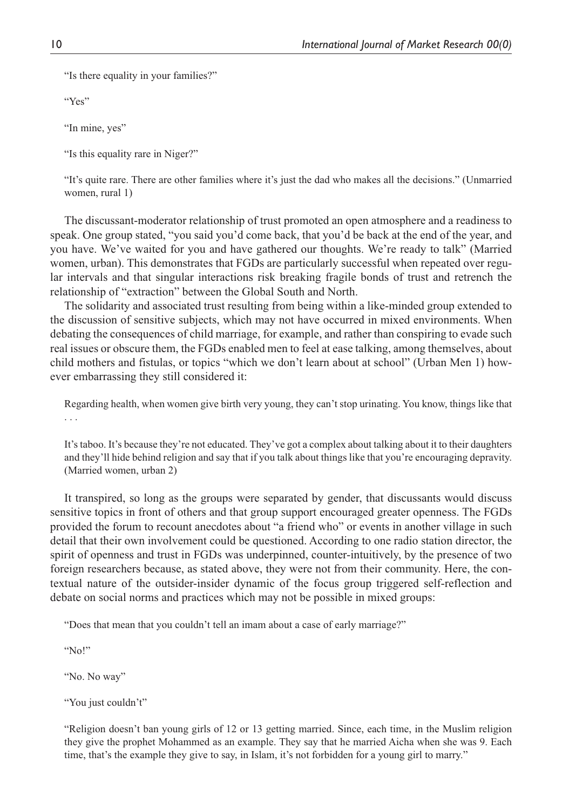"Is there equality in your families?"

"Yes"

"In mine, yes"

"Is this equality rare in Niger?"

"It's quite rare. There are other families where it's just the dad who makes all the decisions." (Unmarried women, rural 1)

The discussant-moderator relationship of trust promoted an open atmosphere and a readiness to speak. One group stated, "you said you'd come back, that you'd be back at the end of the year, and you have. We've waited for you and have gathered our thoughts. We're ready to talk" (Married women, urban). This demonstrates that FGDs are particularly successful when repeated over regular intervals and that singular interactions risk breaking fragile bonds of trust and retrench the relationship of "extraction" between the Global South and North.

The solidarity and associated trust resulting from being within a like-minded group extended to the discussion of sensitive subjects, which may not have occurred in mixed environments. When debating the consequences of child marriage, for example, and rather than conspiring to evade such real issues or obscure them, the FGDs enabled men to feel at ease talking, among themselves, about child mothers and fistulas, or topics "which we don't learn about at school" (Urban Men 1) however embarrassing they still considered it:

Regarding health, when women give birth very young, they can't stop urinating. You know, things like that . . .

It's taboo. It's because they're not educated. They've got a complex about talking about it to their daughters and they'll hide behind religion and say that if you talk about things like that you're encouraging depravity. (Married women, urban 2)

It transpired, so long as the groups were separated by gender, that discussants would discuss sensitive topics in front of others and that group support encouraged greater openness. The FGDs provided the forum to recount anecdotes about "a friend who" or events in another village in such detail that their own involvement could be questioned. According to one radio station director, the spirit of openness and trust in FGDs was underpinned, counter-intuitively, by the presence of two foreign researchers because, as stated above, they were not from their community. Here, the contextual nature of the outsider-insider dynamic of the focus group triggered self-reflection and debate on social norms and practices which may not be possible in mixed groups:

"Does that mean that you couldn't tell an imam about a case of early marriage?"

"No!"

"No. No way"

"You just couldn't"

"Religion doesn't ban young girls of 12 or 13 getting married. Since, each time, in the Muslim religion they give the prophet Mohammed as an example. They say that he married Aicha when she was 9. Each time, that's the example they give to say, in Islam, it's not forbidden for a young girl to marry."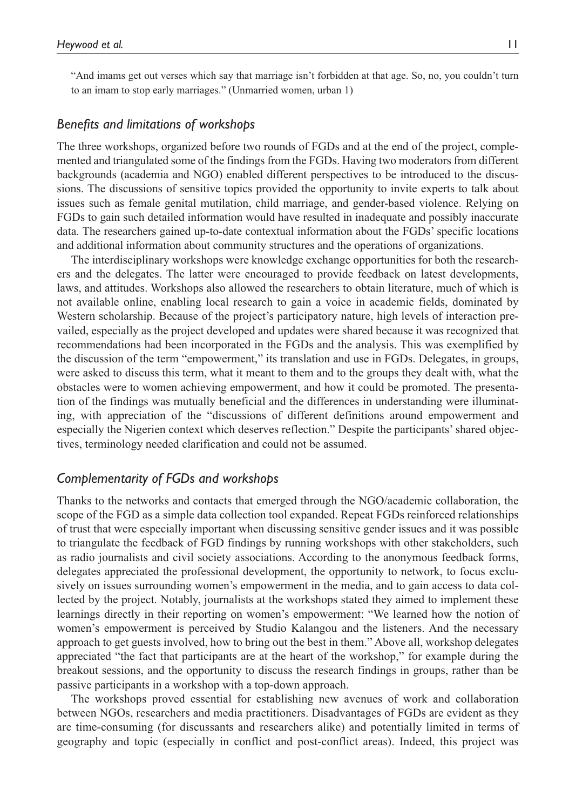"And imams get out verses which say that marriage isn't forbidden at that age. So, no, you couldn't turn to an imam to stop early marriages." (Unmarried women, urban 1)

## *Benefits and limitations of workshops*

The three workshops, organized before two rounds of FGDs and at the end of the project, complemented and triangulated some of the findings from the FGDs. Having two moderators from different backgrounds (academia and NGO) enabled different perspectives to be introduced to the discussions. The discussions of sensitive topics provided the opportunity to invite experts to talk about issues such as female genital mutilation, child marriage, and gender-based violence. Relying on FGDs to gain such detailed information would have resulted in inadequate and possibly inaccurate data. The researchers gained up-to-date contextual information about the FGDs' specific locations and additional information about community structures and the operations of organizations.

The interdisciplinary workshops were knowledge exchange opportunities for both the researchers and the delegates. The latter were encouraged to provide feedback on latest developments, laws, and attitudes. Workshops also allowed the researchers to obtain literature, much of which is not available online, enabling local research to gain a voice in academic fields, dominated by Western scholarship. Because of the project's participatory nature, high levels of interaction prevailed, especially as the project developed and updates were shared because it was recognized that recommendations had been incorporated in the FGDs and the analysis. This was exemplified by the discussion of the term "empowerment," its translation and use in FGDs. Delegates, in groups, were asked to discuss this term, what it meant to them and to the groups they dealt with, what the obstacles were to women achieving empowerment, and how it could be promoted. The presentation of the findings was mutually beneficial and the differences in understanding were illuminating, with appreciation of the "discussions of different definitions around empowerment and especially the Nigerien context which deserves reflection." Despite the participants' shared objectives, terminology needed clarification and could not be assumed.

## *Complementarity of FGDs and workshops*

Thanks to the networks and contacts that emerged through the NGO/academic collaboration, the scope of the FGD as a simple data collection tool expanded. Repeat FGDs reinforced relationships of trust that were especially important when discussing sensitive gender issues and it was possible to triangulate the feedback of FGD findings by running workshops with other stakeholders, such as radio journalists and civil society associations. According to the anonymous feedback forms, delegates appreciated the professional development, the opportunity to network, to focus exclusively on issues surrounding women's empowerment in the media, and to gain access to data collected by the project. Notably, journalists at the workshops stated they aimed to implement these learnings directly in their reporting on women's empowerment: "We learned how the notion of women's empowerment is perceived by Studio Kalangou and the listeners. And the necessary approach to get guests involved, how to bring out the best in them." Above all, workshop delegates appreciated "the fact that participants are at the heart of the workshop," for example during the breakout sessions, and the opportunity to discuss the research findings in groups, rather than be passive participants in a workshop with a top-down approach.

The workshops proved essential for establishing new avenues of work and collaboration between NGOs, researchers and media practitioners. Disadvantages of FGDs are evident as they are time-consuming (for discussants and researchers alike) and potentially limited in terms of geography and topic (especially in conflict and post-conflict areas). Indeed, this project was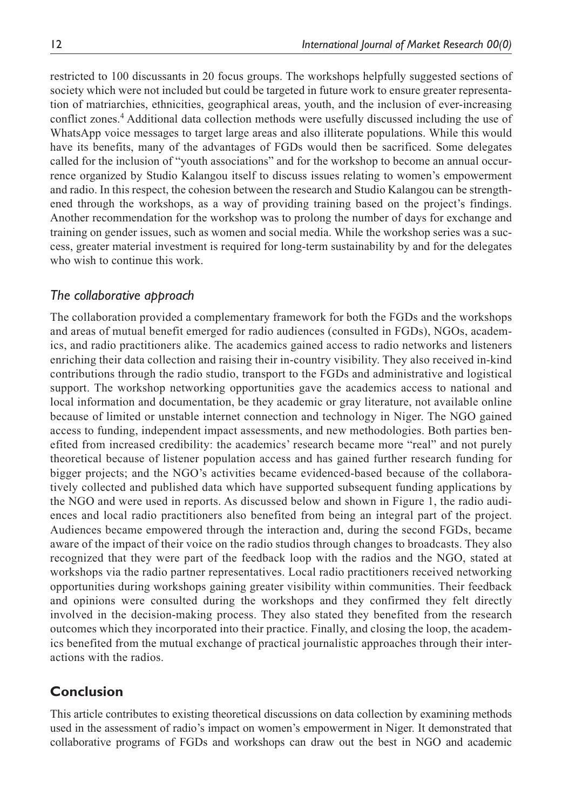restricted to 100 discussants in 20 focus groups. The workshops helpfully suggested sections of society which were not included but could be targeted in future work to ensure greater representation of matriarchies, ethnicities, geographical areas, youth, and the inclusion of ever-increasing conflict zones.<sup>4</sup> Additional data collection methods were usefully discussed including the use of WhatsApp voice messages to target large areas and also illiterate populations. While this would have its benefits, many of the advantages of FGDs would then be sacrificed. Some delegates called for the inclusion of "youth associations" and for the workshop to become an annual occurrence organized by Studio Kalangou itself to discuss issues relating to women's empowerment and radio. In this respect, the cohesion between the research and Studio Kalangou can be strengthened through the workshops, as a way of providing training based on the project's findings. Another recommendation for the workshop was to prolong the number of days for exchange and training on gender issues, such as women and social media. While the workshop series was a success, greater material investment is required for long-term sustainability by and for the delegates who wish to continue this work.

# *The collaborative approach*

The collaboration provided a complementary framework for both the FGDs and the workshops and areas of mutual benefit emerged for radio audiences (consulted in FGDs), NGOs, academics, and radio practitioners alike. The academics gained access to radio networks and listeners enriching their data collection and raising their in-country visibility. They also received in-kind contributions through the radio studio, transport to the FGDs and administrative and logistical support. The workshop networking opportunities gave the academics access to national and local information and documentation, be they academic or gray literature, not available online because of limited or unstable internet connection and technology in Niger. The NGO gained access to funding, independent impact assessments, and new methodologies. Both parties benefited from increased credibility: the academics' research became more "real" and not purely theoretical because of listener population access and has gained further research funding for bigger projects; and the NGO's activities became evidenced-based because of the collaboratively collected and published data which have supported subsequent funding applications by the NGO and were used in reports. As discussed below and shown in Figure 1, the radio audiences and local radio practitioners also benefited from being an integral part of the project. Audiences became empowered through the interaction and, during the second FGDs, became aware of the impact of their voice on the radio studios through changes to broadcasts. They also recognized that they were part of the feedback loop with the radios and the NGO, stated at workshops via the radio partner representatives. Local radio practitioners received networking opportunities during workshops gaining greater visibility within communities. Their feedback and opinions were consulted during the workshops and they confirmed they felt directly involved in the decision-making process. They also stated they benefited from the research outcomes which they incorporated into their practice. Finally, and closing the loop, the academics benefited from the mutual exchange of practical journalistic approaches through their interactions with the radios.

# **Conclusion**

This article contributes to existing theoretical discussions on data collection by examining methods used in the assessment of radio's impact on women's empowerment in Niger. It demonstrated that collaborative programs of FGDs and workshops can draw out the best in NGO and academic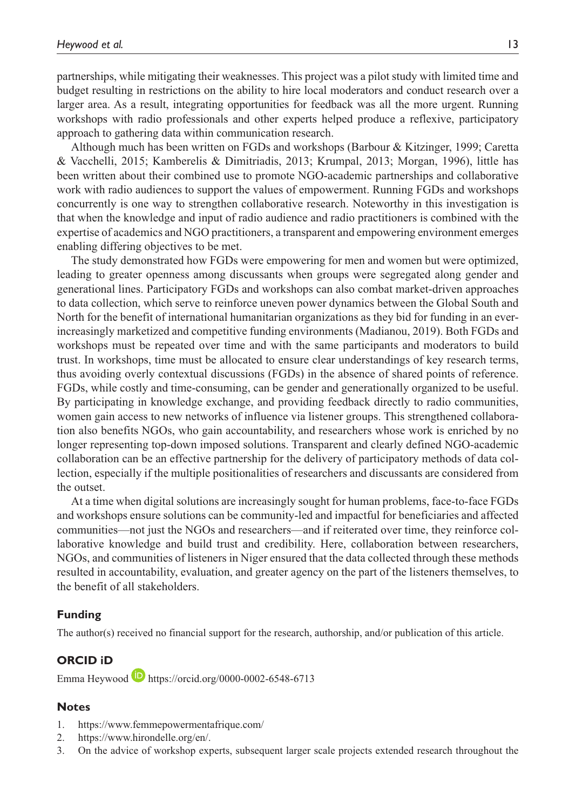partnerships, while mitigating their weaknesses. This project was a pilot study with limited time and budget resulting in restrictions on the ability to hire local moderators and conduct research over a larger area. As a result, integrating opportunities for feedback was all the more urgent. Running workshops with radio professionals and other experts helped produce a reflexive, participatory approach to gathering data within communication research.

Although much has been written on FGDs and workshops (Barbour & Kitzinger, 1999; Caretta & Vacchelli, 2015; Kamberelis & Dimitriadis, 2013; Krumpal, 2013; Morgan, 1996), little has been written about their combined use to promote NGO-academic partnerships and collaborative work with radio audiences to support the values of empowerment. Running FGDs and workshops concurrently is one way to strengthen collaborative research. Noteworthy in this investigation is that when the knowledge and input of radio audience and radio practitioners is combined with the expertise of academics and NGO practitioners, a transparent and empowering environment emerges enabling differing objectives to be met.

The study demonstrated how FGDs were empowering for men and women but were optimized, leading to greater openness among discussants when groups were segregated along gender and generational lines. Participatory FGDs and workshops can also combat market-driven approaches to data collection, which serve to reinforce uneven power dynamics between the Global South and North for the benefit of international humanitarian organizations as they bid for funding in an everincreasingly marketized and competitive funding environments (Madianou, 2019). Both FGDs and workshops must be repeated over time and with the same participants and moderators to build trust. In workshops, time must be allocated to ensure clear understandings of key research terms, thus avoiding overly contextual discussions (FGDs) in the absence of shared points of reference. FGDs, while costly and time-consuming, can be gender and generationally organized to be useful. By participating in knowledge exchange, and providing feedback directly to radio communities, women gain access to new networks of influence via listener groups. This strengthened collaboration also benefits NGOs, who gain accountability, and researchers whose work is enriched by no longer representing top-down imposed solutions. Transparent and clearly defined NGO-academic collaboration can be an effective partnership for the delivery of participatory methods of data collection, especially if the multiple positionalities of researchers and discussants are considered from the outset.

At a time when digital solutions are increasingly sought for human problems, face-to-face FGDs and workshops ensure solutions can be community-led and impactful for beneficiaries and affected communities—not just the NGOs and researchers—and if reiterated over time, they reinforce collaborative knowledge and build trust and credibility. Here, collaboration between researchers, NGOs, and communities of listeners in Niger ensured that the data collected through these methods resulted in accountability, evaluation, and greater agency on the part of the listeners themselves, to the benefit of all stakeholders.

### **Funding**

The author(s) received no financial support for the research, authorship, and/or publication of this article.

## **ORCID iD**

Emma Heywood <https://orcid.org/0000-0002-6548-6713>

#### **Notes**

- 1. <https://www.femmepowermentafrique.com/>
- 2. <https://www.hirondelle.org/en/>.
- 3. On the advice of workshop experts, subsequent larger scale projects extended research throughout the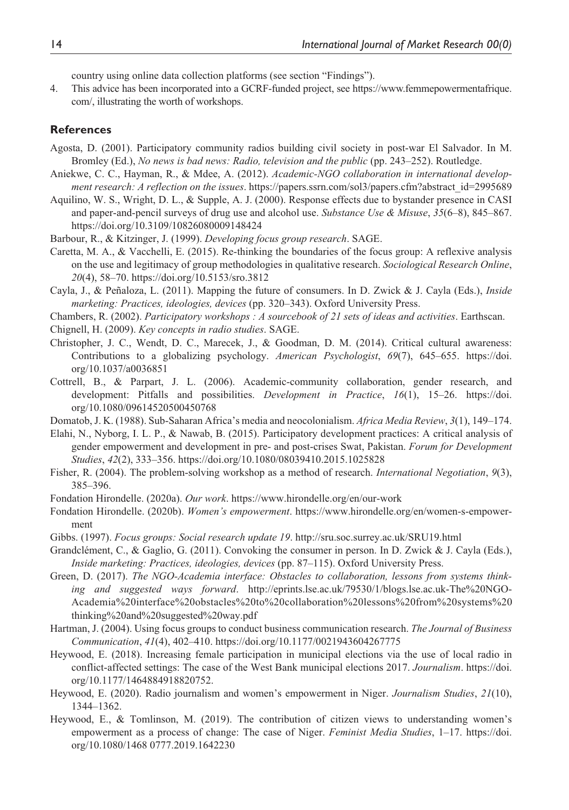country using online data collection platforms (see section "Findings").

4. This advice has been incorporated into a GCRF-funded project, see [https://www.femmepowermentafrique.](https://www.femmepowermentafrique.com/) [com/,](https://www.femmepowermentafrique.com/) illustrating the worth of workshops.

### **References**

- Agosta, D. (2001). Participatory community radios building civil society in post-war El Salvador. In M. Bromley (Ed.), *No news is bad news: Radio, television and the public* (pp. 243–252). Routledge.
- Aniekwe, C. C., Hayman, R., & Mdee, A. (2012). *Academic-NGO collaboration in international development research: A reflection on the issues*. [https://papers.ssrn.com/sol3/papers.cfm?abstract\\_id=2995689](https://papers.ssrn.com/sol3/papers.cfm?abstract_id=2995689)
- Aquilino, W. S., Wright, D. L., & Supple, A. J. (2000). Response effects due to bystander presence in CASI and paper-and-pencil surveys of drug use and alcohol use. *Substance Use & Misuse*, *35*(6–8), 845–867. <https://doi.org/10.3109/10826080009148424>
- Barbour, R., & Kitzinger, J. (1999). *Developing focus group research*. SAGE.
- Caretta, M. A., & Vacchelli, E. (2015). Re-thinking the boundaries of the focus group: A reflexive analysis on the use and legitimacy of group methodologies in qualitative research. *Sociological Research Online*, *20*(4), 58–70. <https://doi.org/10.5153/sro.3812>
- Cayla, J., & Peñaloza, L. (2011). Mapping the future of consumers. In D. Zwick & J. Cayla (Eds.), *Inside marketing: Practices, ideologies, devices* (pp. 320–343). Oxford University Press.
- Chambers, R. (2002). *Participatory workshops : A sourcebook of 21 sets of ideas and activities*. Earthscan.
- Chignell, H. (2009). *Key concepts in radio studies*. SAGE.
- Christopher, J. C., Wendt, D. C., Marecek, J., & Goodman, D. M. (2014). Critical cultural awareness: Contributions to a globalizing psychology. *American Psychologist*, *69*(7), 645–655. [https://doi.](https://doi.org/10.1037/a0036851) [org/10.1037/a0036851](https://doi.org/10.1037/a0036851)
- Cottrell, B., & Parpart, J. L. (2006). Academic-community collaboration, gender research, and development: Pitfalls and possibilities. *Development in Practice*, *16*(1), 15–26. [https://doi.](https://doi.org/10.1080/09614520500450768) [org/10.1080/09614520500450768](https://doi.org/10.1080/09614520500450768)
- Domatob, J. K. (1988). Sub-Saharan Africa's media and neocolonialism. *Africa Media Review*, *3*(1), 149–174.
- Elahi, N., Nyborg, I. L. P., & Nawab, B. (2015). Participatory development practices: A critical analysis of gender empowerment and development in pre- and post-crises Swat, Pakistan. *Forum for Development Studies*, *42*(2), 333–356.<https://doi.org/10.1080/08039410.2015.1025828>
- Fisher, R. (2004). The problem-solving workshop as a method of research. *International Negotiation*, *9*(3), 385–396.
- Fondation Hirondelle. (2020a). *Our work*.<https://www.hirondelle.org/en/our-work>
- Fondation Hirondelle. (2020b). *Women's empowerment*. [https://www.hirondelle.org/en/women-s-empower](https://www.hirondelle.org/en/women-s-empowerment)[ment](https://www.hirondelle.org/en/women-s-empowerment)
- Gibbs. (1997). *Focus groups: Social research update 19*.<http://sru.soc.surrey.ac.uk/SRU19.html>
- Grandclément, C., & Gaglio, G. (2011). Convoking the consumer in person. In D. Zwick & J. Cayla (Eds.), *Inside marketing: Practices, ideologies, devices* (pp. 87–115). Oxford University Press.
- Green, D. (2017). *The NGO-Academia interface: Obstacles to collaboration, lessons from systems thinking and suggested ways forward*. [http://eprints.lse.ac.uk/79530/1/blogs.lse.ac.uk-The%20NGO-](http://eprints.lse.ac.uk/79530/1/blogs.lse.ac.uk-The%20NGO-Academia%20interface%20obstacles%20to%20collaboration%20lessons%20from%20systems%20thinking%20and%20suggested%20way.pdf)[Academia%20interface%20obstacles%20to%20collaboration%20lessons%20from%20systems%20](http://eprints.lse.ac.uk/79530/1/blogs.lse.ac.uk-The%20NGO-Academia%20interface%20obstacles%20to%20collaboration%20lessons%20from%20systems%20thinking%20and%20suggested%20way.pdf) [thinking%20and%20suggested%20way.pdf](http://eprints.lse.ac.uk/79530/1/blogs.lse.ac.uk-The%20NGO-Academia%20interface%20obstacles%20to%20collaboration%20lessons%20from%20systems%20thinking%20and%20suggested%20way.pdf)
- Hartman, J. (2004). Using focus groups to conduct business communication research. *The Journal of Business Communication*, *41*(4), 402–410. <https://doi.org/10.1177/0021943604267775>
- Heywood, E. (2018). Increasing female participation in municipal elections via the use of local radio in conflict-affected settings: The case of the West Bank municipal elections 2017. *Journalism*. [https://doi.](https://doi.org/10.1177/1464884918820752) [org/10.1177/1464884918820752.](https://doi.org/10.1177/1464884918820752)
- Heywood, E. (2020). Radio journalism and women's empowerment in Niger. *Journalism Studies*, *21*(10), 1344–1362.
- Heywood, E., & Tomlinson, M. (2019). The contribution of citizen views to understanding women's empowerment as a process of change: The case of Niger. *Feminist Media Studies*, 1–17. [https://doi.](https://doi.org/10.1080/1468 0777.2019.1642230) [org/10.1080/1468 0777.2019.1642230](https://doi.org/10.1080/1468 0777.2019.1642230)